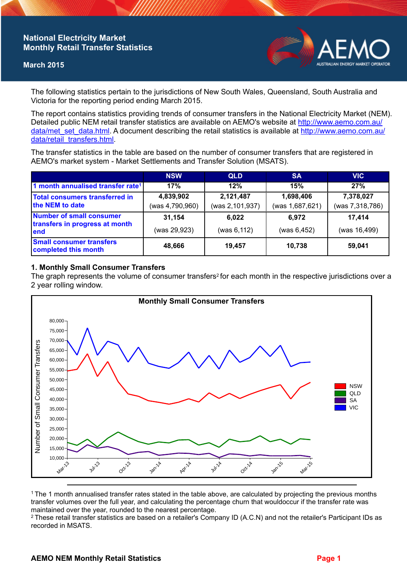## **National Electricity Market Monthly Retail Transfer Statistics**

#### **March 2015**



The following statistics pertain to the jurisdictions of New South Wales, Queensland, South Australia and Victoria for the reporting period ending March 2015.

The report contains statistics providing trends of consumer transfers in the National Electricity Market (NEM). Detailed public NEM retail transfer statistics are available on AEMO's website at [http://www.aemo.com.au/](http://www.aemo.com.au/data/met_set_data.html) [data/met\\_set\\_data.html](http://www.aemo.com.au/data/met_set_data.html). A document describing the retail statistics is available at [http://www.aemo.com.au/](http://www.aemo.com.au/data/retail_transfers.html) [data/retail\\_transfers.html](http://www.aemo.com.au/data/retail_transfers.html).

The transfer statistics in the table are based on the number of consumer transfers that are registered in AEMO's market system - Market Settlements and Transfer Solution (MSATS).

|                                                                    | <b>NSW</b>                   | <b>QLD</b>                   | <b>SA</b>                    | <b>VIC</b>                   |
|--------------------------------------------------------------------|------------------------------|------------------------------|------------------------------|------------------------------|
| 1 month annualised transfer rate <sup>1</sup>                      | 17%                          | 12%                          | 15%                          | 27%                          |
| Total consumers transferred in<br>the NEM to date                  | 4,839,902<br>(was 4,790,960) | 2,121,487<br>(was 2,101,937) | 1,698,406<br>(was 1,687,621) | 7,378,027<br>(was 7,318,786) |
| Number of small consumer<br>transfers in progress at month<br>lend | 31,154<br>(was 29,923)       | 6,022<br>(was 6, 112)        | 6.972<br>(was 6, 452)        | 17,414<br>(was 16,499)       |
| <b>Small consumer transfers</b><br>completed this month            | 48,666                       | 19,457                       | 10.738                       | 59,041                       |

### **1. Monthly Small Consumer Transfers**

The graph represents the volume of consumer transfers<sup>2</sup> for each month in the respective jurisdictions over a 2 year rolling window.



<sup>1</sup>The 1 month annualised transfer rates stated in the table above, are calculated by projecting the previous months transfer volumes over the full year, and calculating the percentage churn that wouldoccur if the transfer rate was maintained over the year, rounded to the nearest percentage.

<sup>2</sup> These retail transfer statistics are based on a retailer's Company ID (A.C.N) and not the retailer's Participant IDs as recorded in MSATS.